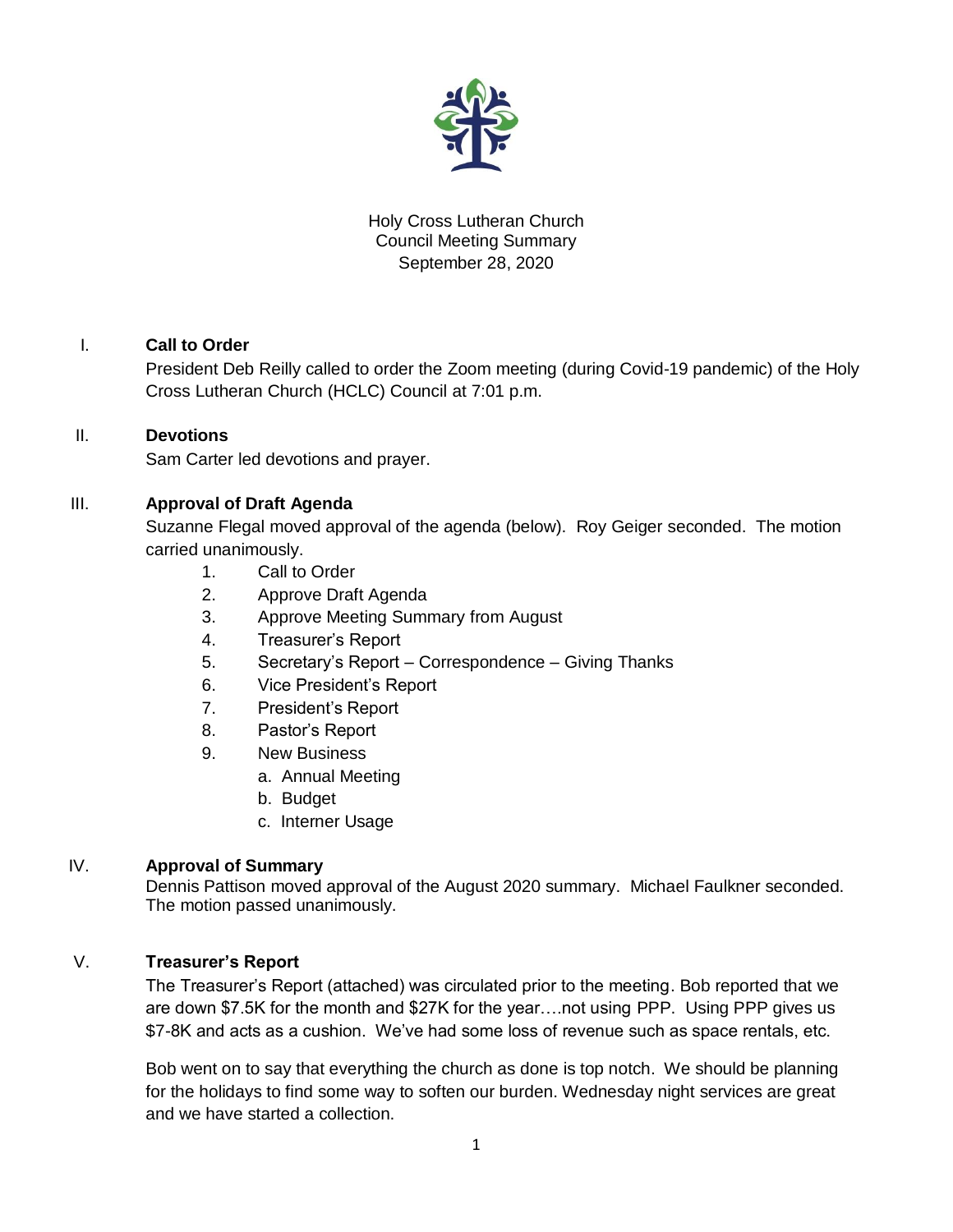

# Holy Cross Lutheran Church Council Meeting Summary September 28, 2020

# I. **Call to Order**

President Deb Reilly called to order the Zoom meeting (during Covid-19 pandemic) of the Holy Cross Lutheran Church (HCLC) Council at 7:01 p.m.

### II. **Devotions**

Sam Carter led devotions and prayer.

# III. **Approval of Draft Agenda**

Suzanne Flegal moved approval of the agenda (below). Roy Geiger seconded. The motion carried unanimously.

- 1. Call to Order
- 2. Approve Draft Agenda
- 3. Approve Meeting Summary from August
- 4. Treasurer's Report
- 5. Secretary's Report Correspondence Giving Thanks
- 6. Vice President's Report
- 7. President's Report
- 8. Pastor's Report
- 9. New Business
	- a. Annual Meeting
	- b. Budget
	- c. Interner Usage

### IV. **Approval of Summary**

Dennis Pattison moved approval of the August 2020 summary. Michael Faulkner seconded. The motion passed unanimously.

### V. **Treasurer's Report**

The Treasurer's Report (attached) was circulated prior to the meeting. Bob reported that we are down \$7.5K for the month and \$27K for the year….not using PPP. Using PPP gives us \$7-8K and acts as a cushion. We've had some loss of revenue such as space rentals, etc.

Bob went on to say that everything the church as done is top notch. We should be planning for the holidays to find some way to soften our burden. Wednesday night services are great and we have started a collection.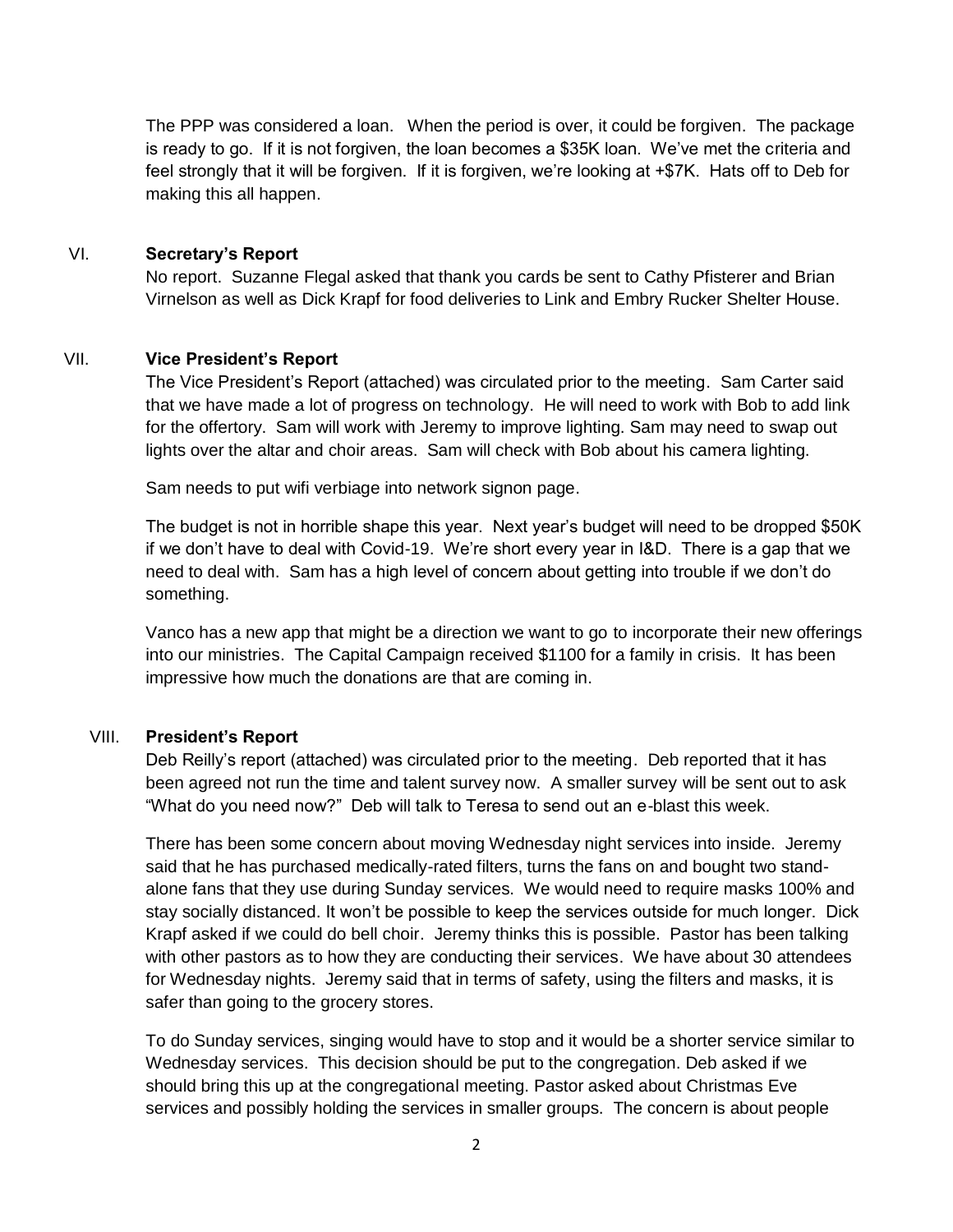The PPP was considered a loan. When the period is over, it could be forgiven. The package is ready to go. If it is not forgiven, the loan becomes a \$35K loan. We've met the criteria and feel strongly that it will be forgiven. If it is forgiven, we're looking at +\$7K. Hats off to Deb for making this all happen.

### VI. **Secretary's Report**

No report. Suzanne Flegal asked that thank you cards be sent to Cathy Pfisterer and Brian Virnelson as well as Dick Krapf for food deliveries to Link and Embry Rucker Shelter House.

#### VII. **Vice President's Report**

The Vice President's Report (attached) was circulated prior to the meeting. Sam Carter said that we have made a lot of progress on technology. He will need to work with Bob to add link for the offertory. Sam will work with Jeremy to improve lighting. Sam may need to swap out lights over the altar and choir areas. Sam will check with Bob about his camera lighting.

Sam needs to put wifi verbiage into network signon page.

The budget is not in horrible shape this year. Next year's budget will need to be dropped \$50K if we don't have to deal with Covid-19. We're short every year in I&D. There is a gap that we need to deal with. Sam has a high level of concern about getting into trouble if we don't do something.

Vanco has a new app that might be a direction we want to go to incorporate their new offerings into our ministries. The Capital Campaign received \$1100 for a family in crisis. It has been impressive how much the donations are that are coming in.

### VIII. **President's Report**

Deb Reilly's report (attached) was circulated prior to the meeting. Deb reported that it has been agreed not run the time and talent survey now. A smaller survey will be sent out to ask "What do you need now?" Deb will talk to Teresa to send out an e-blast this week.

There has been some concern about moving Wednesday night services into inside. Jeremy said that he has purchased medically-rated filters, turns the fans on and bought two standalone fans that they use during Sunday services. We would need to require masks 100% and stay socially distanced. It won't be possible to keep the services outside for much longer. Dick Krapf asked if we could do bell choir. Jeremy thinks this is possible. Pastor has been talking with other pastors as to how they are conducting their services. We have about 30 attendees for Wednesday nights. Jeremy said that in terms of safety, using the filters and masks, it is safer than going to the grocery stores.

To do Sunday services, singing would have to stop and it would be a shorter service similar to Wednesday services. This decision should be put to the congregation. Deb asked if we should bring this up at the congregational meeting. Pastor asked about Christmas Eve services and possibly holding the services in smaller groups. The concern is about people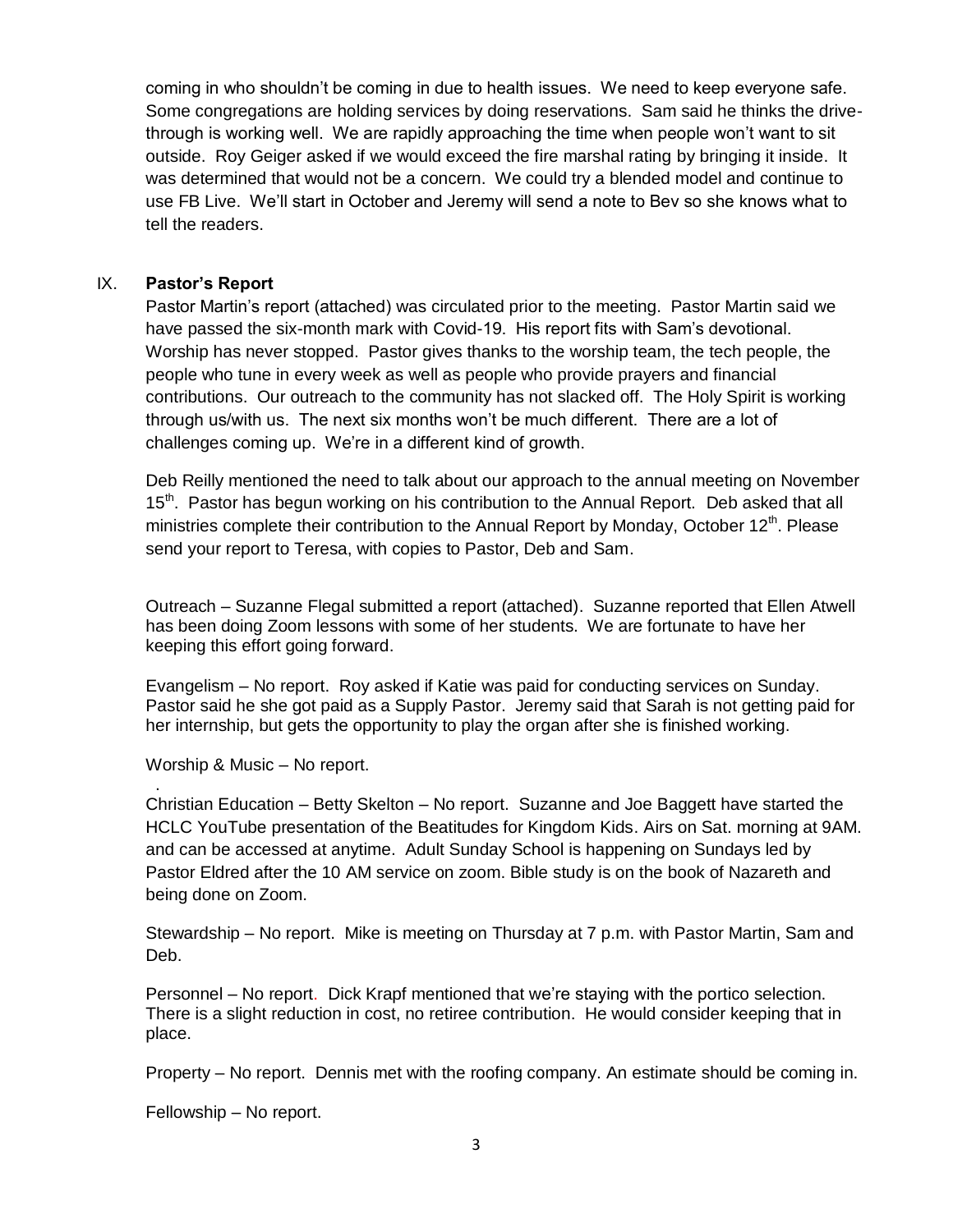coming in who shouldn't be coming in due to health issues. We need to keep everyone safe. Some congregations are holding services by doing reservations. Sam said he thinks the drivethrough is working well. We are rapidly approaching the time when people won't want to sit outside. Roy Geiger asked if we would exceed the fire marshal rating by bringing it inside. It was determined that would not be a concern. We could try a blended model and continue to use FB Live. We'll start in October and Jeremy will send a note to Bev so she knows what to tell the readers.

#### IX. **Pastor's Report**

Pastor Martin's report (attached) was circulated prior to the meeting. Pastor Martin said we have passed the six-month mark with Covid-19. His report fits with Sam's devotional. Worship has never stopped. Pastor gives thanks to the worship team, the tech people, the people who tune in every week as well as people who provide prayers and financial contributions. Our outreach to the community has not slacked off. The Holy Spirit is working through us/with us. The next six months won't be much different. There are a lot of challenges coming up. We're in a different kind of growth.

Deb Reilly mentioned the need to talk about our approach to the annual meeting on November 15<sup>th</sup>. Pastor has begun working on his contribution to the Annual Report. Deb asked that all ministries complete their contribution to the Annual Report by Monday, October 12<sup>th</sup>. Please send your report to Teresa, with copies to Pastor, Deb and Sam.

Outreach – Suzanne Flegal submitted a report (attached). Suzanne reported that Ellen Atwell has been doing Zoom lessons with some of her students. We are fortunate to have her keeping this effort going forward.

Evangelism – No report. Roy asked if Katie was paid for conducting services on Sunday. Pastor said he she got paid as a Supply Pastor. Jeremy said that Sarah is not getting paid for her internship, but gets the opportunity to play the organ after she is finished working.

Worship & Music – No report.

.

Christian Education – Betty Skelton – No report. Suzanne and Joe Baggett have started the HCLC YouTube presentation of the Beatitudes for Kingdom Kids. Airs on Sat. morning at 9AM. and can be accessed at anytime. Adult Sunday School is happening on Sundays led by Pastor Eldred after the 10 AM service on zoom. Bible study is on the book of Nazareth and being done on Zoom.

Stewardship – No report. Mike is meeting on Thursday at 7 p.m. with Pastor Martin, Sam and Deb.

Personnel – No report. Dick Krapf mentioned that we're staying with the portico selection. There is a slight reduction in cost, no retiree contribution. He would consider keeping that in place.

Property – No report. Dennis met with the roofing company. An estimate should be coming in.

Fellowship – No report.